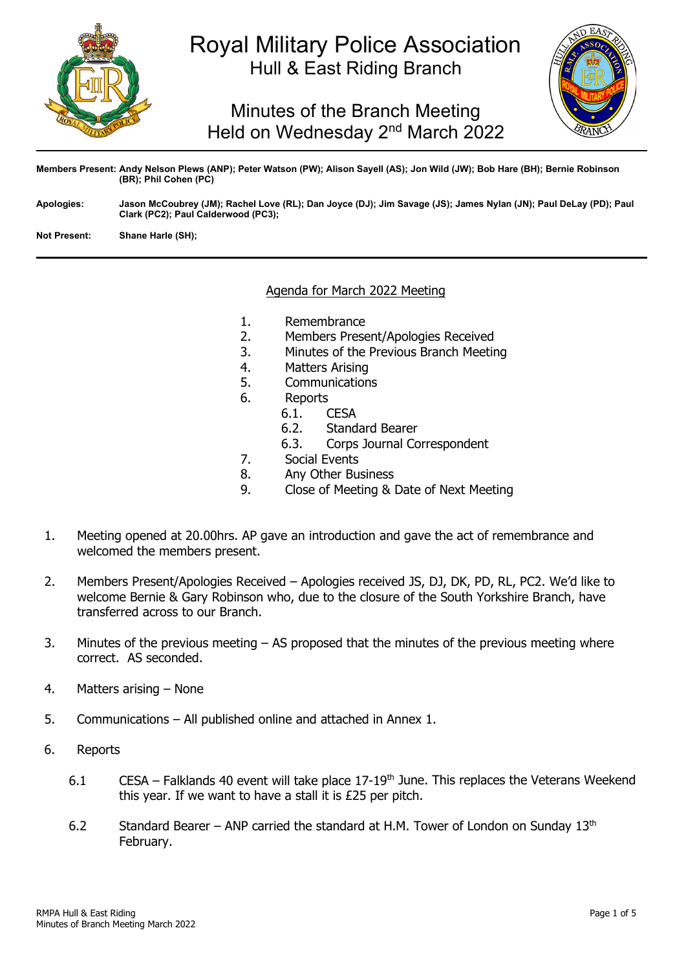

# Royal Military Police Association Hull & East Riding Branch

Minutes of the Branch Meeting Held on Wednesday 2<sup>nd</sup> March 2022



**Members Present: Andy Nelson Plews (ANP); Peter Watson (PW); Alison Sayell (AS); Jon Wild (JW); Bob Hare (BH); Bernie Robinson (BR); Phil Cohen (PC)**

**Apologies: Jason McCoubrey (JM); Rachel Love (RL); Dan Joyce (DJ); Jim Savage (JS); James Nylan (JN); Paul DeLay (PD); Paul Clark (PC2); Paul Calderwood (PC3);**

**Not Present: Shane Harle (SH);**

## Agenda for March 2022 Meeting

- 1. Remembrance<br>2. Members Prese
- 2. Members Present/Apologies Received<br>3. Minutes of the Previous Branch Meetir
- 3. Minutes of the Previous Branch Meeting
- 4. Matters Arising
- 5. Communications<br>6. Reports
- - Reports<br>6.1. ( 6.1. **CESA**<br>6.2. Stand
	-
	- 6.2. Standard Bearer<br>6.3. Corps Journal Co Corps Journal Correspondent
- 7. Social Events
- 8. Any Other Business<br>9. Close of Meeting &
- 9. Close of Meeting & Date of Next Meeting
- 1. Meeting opened at 20.00hrs. AP gave an introduction and gave the act of remembrance and welcomed the members present.
- 2. Members Present/Apologies Received Apologies received JS, DJ, DK, PD, RL, PC2. We'd like to welcome Bernie & Gary Robinson who, due to the closure of the South Yorkshire Branch, have transferred across to our Branch.
- 3. Minutes of the previous meeting AS proposed that the minutes of the previous meeting where correct. AS seconded.
- 4. Matters arising None
- 5. Communications All published online and attached in Annex 1.
- 6. Reports
	- 6.1 CESA Falklands 40 event will take place 17-19<sup>th</sup> June. This replaces the Veterans Weekend this year. If we want to have a stall it is £25 per pitch.
	- 6.2 Standard Bearer ANP carried the standard at H.M. Tower of London on Sunday  $13<sup>th</sup>$ February.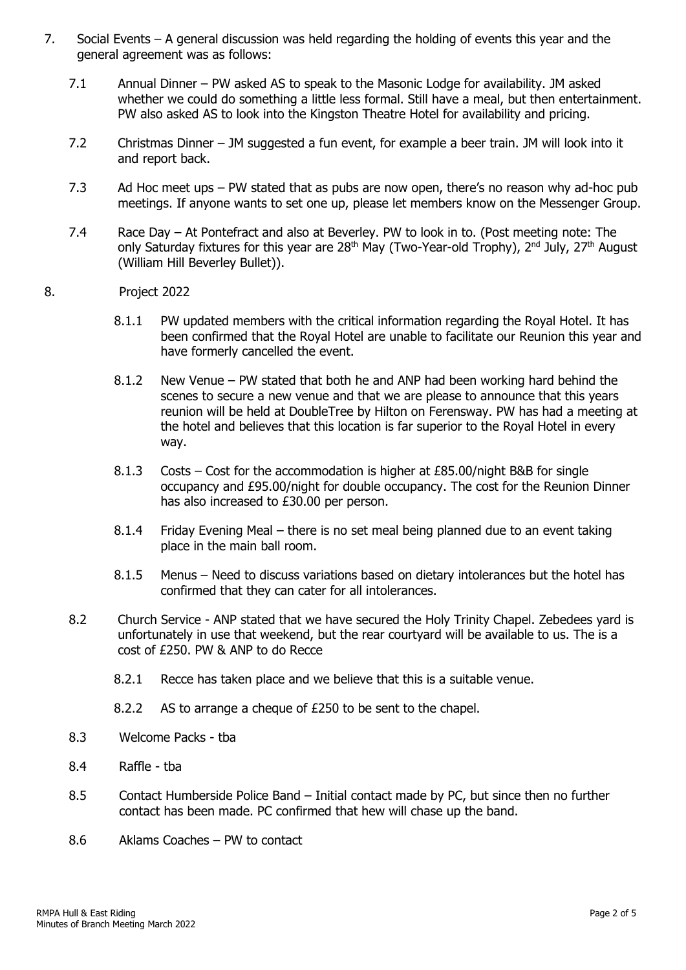- 7. Social Events A general discussion was held regarding the holding of events this year and the general agreement was as follows:
	- 7.1 Annual Dinner PW asked AS to speak to the Masonic Lodge for availability. JM asked whether we could do something a little less formal. Still have a meal, but then entertainment. PW also asked AS to look into the Kingston Theatre Hotel for availability and pricing.
	- 7.2 Christmas Dinner JM suggested a fun event, for example a beer train. JM will look into it and report back.
	- 7.3 Ad Hoc meet ups PW stated that as pubs are now open, there's no reason why ad-hoc pub meetings. If anyone wants to set one up, please let members know on the Messenger Group.
	- 7.4 Race Day At Pontefract and also at Beverley. PW to look in to. (Post meeting note: The only Saturday fixtures for this year are  $28<sup>th</sup>$  May (Two-Year-old Trophy),  $2<sup>nd</sup>$  July,  $27<sup>th</sup>$  August (William Hill Beverley Bullet)).
- 8. Project 2022
	- 8.1.1 PW updated members with the critical information regarding the Royal Hotel. It has been confirmed that the Royal Hotel are unable to facilitate our Reunion this year and have formerly cancelled the event.
	- 8.1.2 New Venue PW stated that both he and ANP had been working hard behind the scenes to secure a new venue and that we are please to announce that this years reunion will be held at DoubleTree by Hilton on Ferensway. PW has had a meeting at the hotel and believes that this location is far superior to the Royal Hotel in every way.
	- 8.1.3 Costs Cost for the accommodation is higher at £85.00/night B&B for single occupancy and £95.00/night for double occupancy. The cost for the Reunion Dinner has also increased to £30.00 per person.
	- 8.1.4 Friday Evening Meal there is no set meal being planned due to an event taking place in the main ball room.
	- 8.1.5 Menus Need to discuss variations based on dietary intolerances but the hotel has confirmed that they can cater for all intolerances.
	- 8.2 Church Service ANP stated that we have secured the Holy Trinity Chapel. Zebedees yard is unfortunately in use that weekend, but the rear courtyard will be available to us. The is a cost of £250. PW & ANP to do Recce
		- 8.2.1 Recce has taken place and we believe that this is a suitable venue.
		- 8.2.2 AS to arrange a cheque of £250 to be sent to the chapel.
	- 8.3 Welcome Packs tba
	- 8.4 Raffle tba
	- 8.5 Contact Humberside Police Band Initial contact made by PC, but since then no further contact has been made. PC confirmed that hew will chase up the band.
	- 8.6 Aklams Coaches PW to contact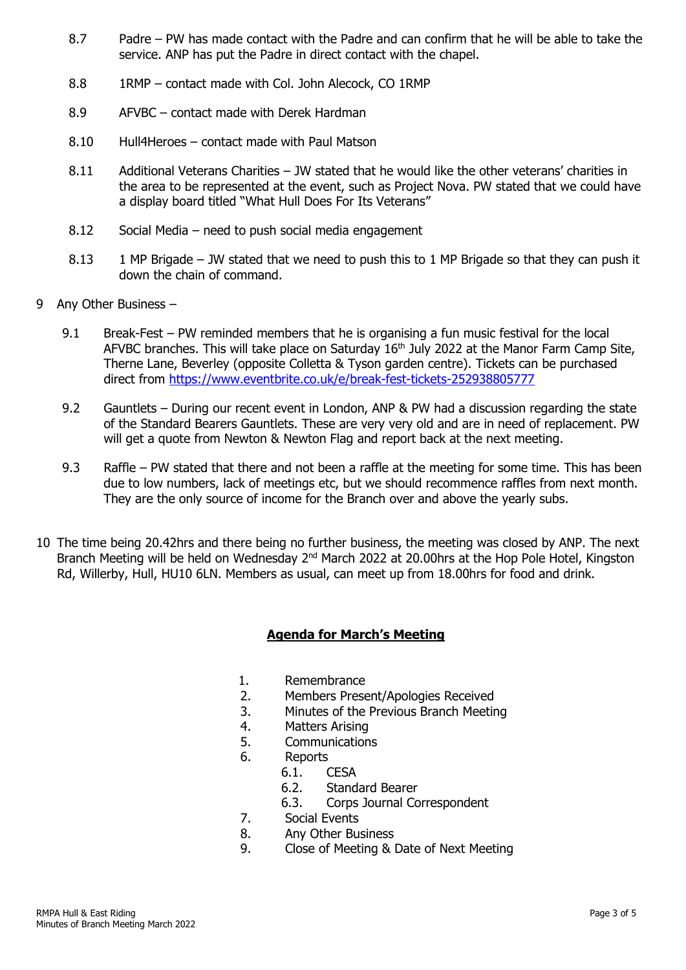- 8.7 Padre PW has made contact with the Padre and can confirm that he will be able to take the service. ANP has put the Padre in direct contact with the chapel.
- 8.8 1RMP contact made with Col. John Alecock, CO 1RMP
- 8.9 AFVBC contact made with Derek Hardman
- 8.10 Hull4Heroes contact made with Paul Matson
- 8.11 Additional Veterans Charities JW stated that he would like the other veterans' charities in the area to be represented at the event, such as Project Nova. PW stated that we could have a display board titled "What Hull Does For Its Veterans"
- 8.12 Social Media need to push social media engagement
- 8.13 1 MP Brigade JW stated that we need to push this to 1 MP Brigade so that they can push it down the chain of command.
- 9 Any Other Business
	- 9.1 Break-Fest PW reminded members that he is organising a fun music festival for the local AFVBC branches. This will take place on Saturday 16<sup>th</sup> July 2022 at the Manor Farm Camp Site, Therne Lane, Beverley (opposite Colletta & Tyson garden centre). Tickets can be purchased direct from<https://www.eventbrite.co.uk/e/break-fest-tickets-252938805777>
	- 9.2 Gauntlets During our recent event in London, ANP & PW had a discussion regarding the state of the Standard Bearers Gauntlets. These are very very old and are in need of replacement. PW will get a quote from Newton & Newton Flag and report back at the next meeting.
	- 9.3 Raffle PW stated that there and not been a raffle at the meeting for some time. This has been due to low numbers, lack of meetings etc, but we should recommence raffles from next month. They are the only source of income for the Branch over and above the yearly subs.
- 10 The time being 20.42hrs and there being no further business, the meeting was closed by ANP. The next Branch Meeting will be held on Wednesday 2<sup>nd</sup> March 2022 at 20.00hrs at the Hop Pole Hotel, Kingston Rd, Willerby, Hull, HU10 6LN. Members as usual, can meet up from 18.00hrs for food and drink.

# **Agenda for March's Meeting**

- 1. Remembrance
- 2. Members Present/Apologies Received
- 3. Minutes of the Previous Branch Meeting<br>4. Matters Arising
- 4. Matters Arising<br>5. Communication
- **Communications**
- 6. Reports
	-
	- 6.1. **CESA**<br>6.2. Stand Standard Bearer
	- 6.3. Corps Journal Correspondent
- 7. Social Events
- 8. Any Other Business
- 9. Close of Meeting & Date of Next Meeting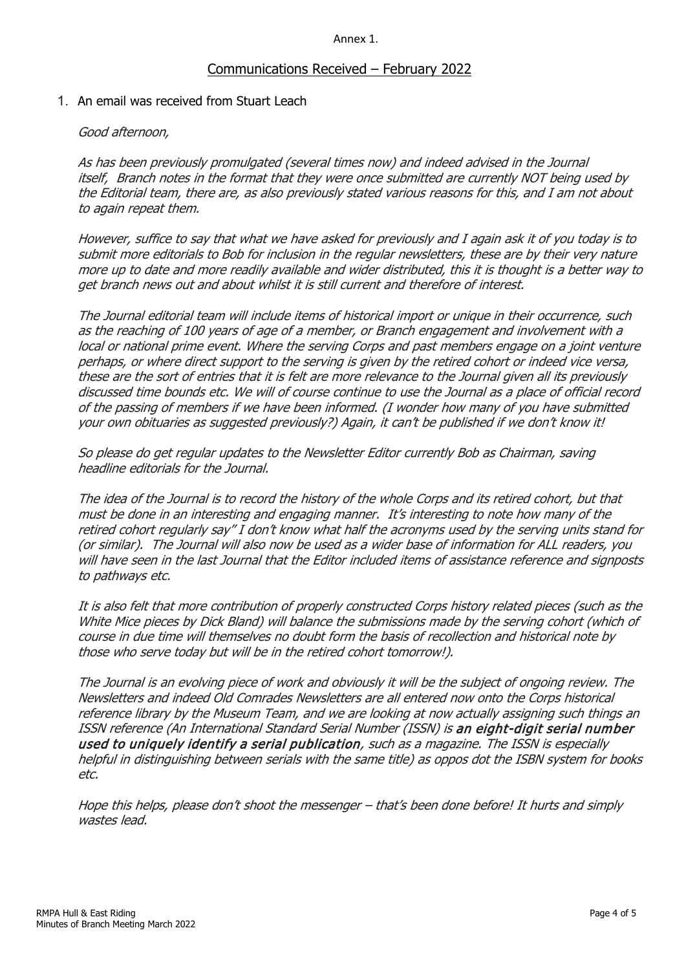#### Annex 1.

## Communications Received – February 2022

## 1. An email was received from Stuart Leach

### Good afternoon,

As has been previously promulgated (several times now) and indeed advised in the Journal itself, Branch notes in the format that they were once submitted are currently NOT being used by the Editorial team, there are, as also previously stated various reasons for this, and I am not about to again repeat them.

However, suffice to say that what we have asked for previously and I again ask it of you today is to submit more editorials to Bob for inclusion in the regular newsletters, these are by their very nature more up to date and more readily available and wider distributed, this it is thought is a better way to get branch news out and about whilst it is still current and therefore of interest.

The Journal editorial team will include items of historical import or unique in their occurrence, such as the reaching of 100 years of age of a member, or Branch engagement and involvement with a local or national prime event. Where the serving Corps and past members engage on a joint venture perhaps, or where direct support to the serving is given by the retired cohort or indeed vice versa, these are the sort of entries that it is felt are more relevance to the Journal given all its previously discussed time bounds etc. We will of course continue to use the Journal as a place of official record of the passing of members if we have been informed. (I wonder how many of you have submitted your own obituaries as suggested previously?) Again, it can't be published if we don't know it!

So please do get regular updates to the Newsletter Editor currently Bob as Chairman, saving headline editorials for the Journal.

The idea of the Journal is to record the history of the whole Corps and its retired cohort, but that must be done in an interesting and engaging manner. It's interesting to note how many of the retired cohort regularly say" I don't know what half the acronyms used by the serving units stand for (or similar). The Journal will also now be used as a wider base of information for ALL readers, you will have seen in the last Journal that the Editor included items of assistance reference and signposts to pathways etc.

It is also felt that more contribution of properly constructed Corps history related pieces (such as the White Mice pieces by Dick Bland) will balance the submissions made by the serving cohort (which of course in due time will themselves no doubt form the basis of recollection and historical note by those who serve today but will be in the retired cohort tomorrow!).

The Journal is an evolving piece of work and obviously it will be the subject of ongoing review. The Newsletters and indeed Old Comrades Newsletters are all entered now onto the Corps historical reference library by the Museum Team, and we are looking at now actually assigning such things an ISSN reference (An International Standard Serial Number (ISSN) is an eight-digit serial number used to uniquely identify a serial publication, such as a magazine. The ISSN is especially helpful in distinguishing between serials with the same title) as oppos dot the ISBN system for books etc.

Hope this helps, please don't shoot the messenger – that's been done before! It hurts and simply wastes lead.